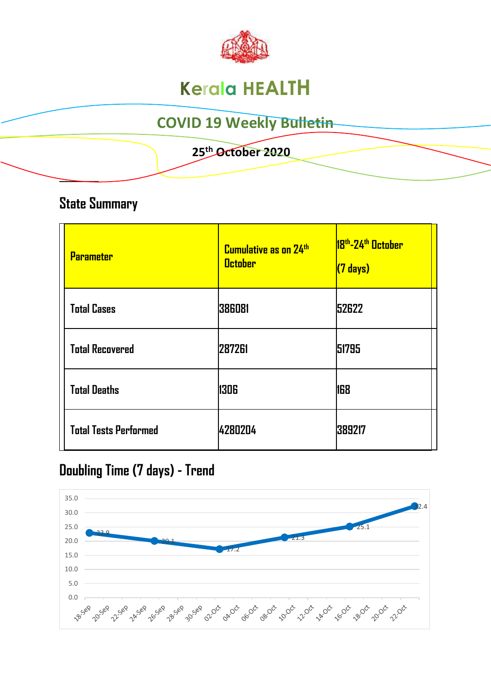

# **Kerala HEALTH**

## **COVID 19 Weekly Bulletin**

#### **25 th October 2020**

### **State Summary**

**\_\_\_\_\_\_\_\_** 

| <b>Parameter</b>             | Cumulative as on 24th<br><b>October</b> | 18 <sup>th</sup> -24 <sup>th</sup> October<br>$(7 \text{ days})$ |
|------------------------------|-----------------------------------------|------------------------------------------------------------------|
| <b>Total Cases</b>           | 386081                                  | 52622                                                            |
| <b>Total Recovered</b>       | 287261                                  | 51795                                                            |
| <b>Total Deaths</b>          | 1306                                    | 168                                                              |
| <b>Total Tests Performed</b> | 4280204                                 | 389217                                                           |

### **Doubling Time (7 days) - Trend**

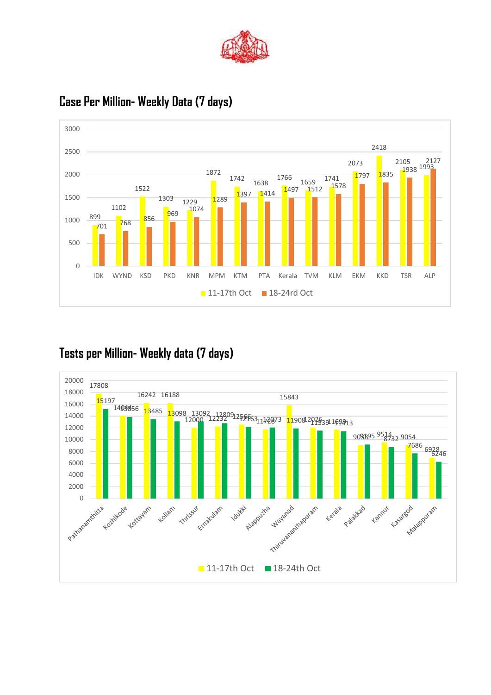



### **Case Per Million- Weekly Data (7 days)**

### **Tests per Million- Weekly data (7 days)**